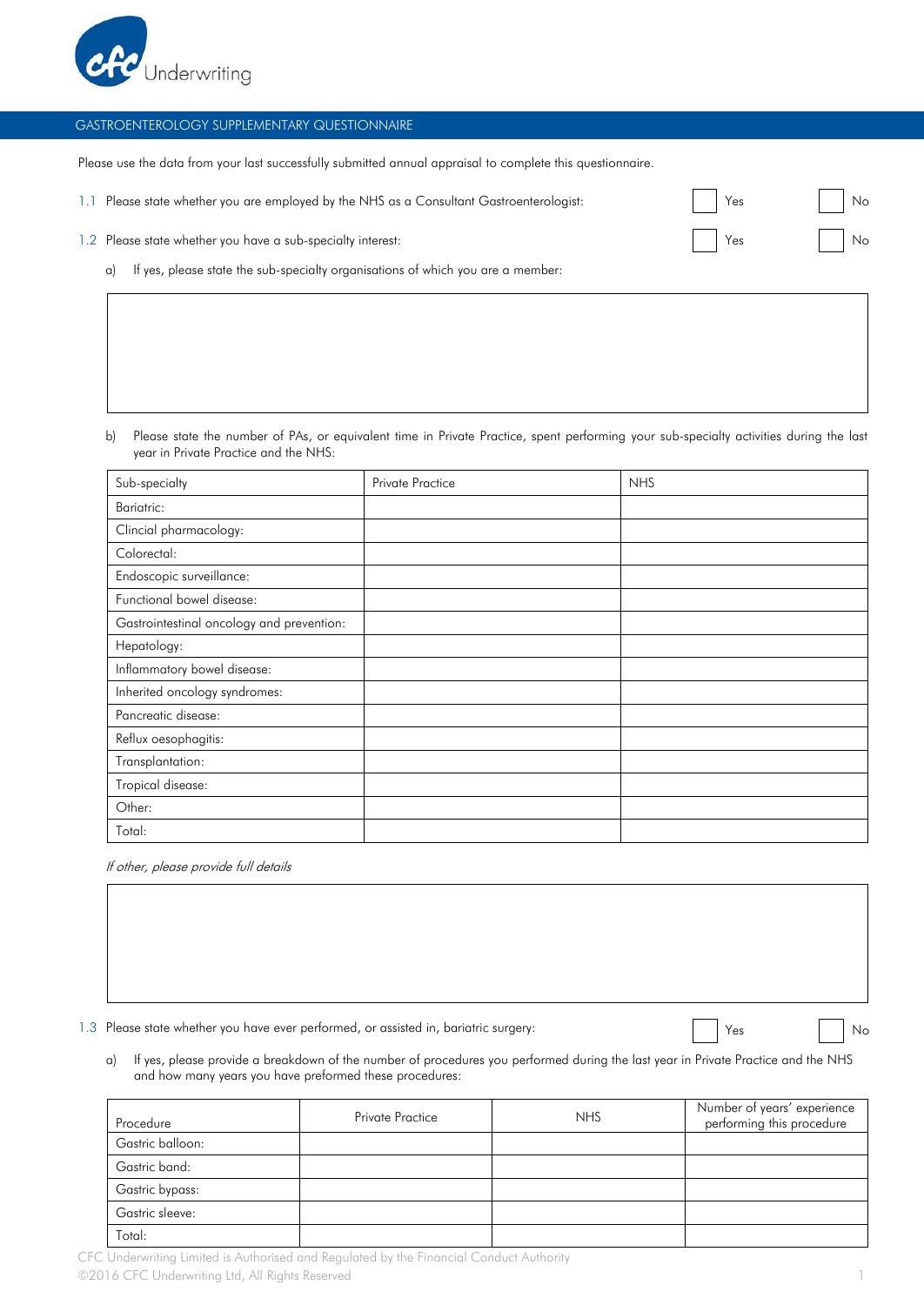

## GASTROENTEROLOGY SUPPLEMENTARY QUESTIONNAIRE

Please use the data from your last successfully submitted annual appraisal to complete this questionnaire.

| 1.1 Please state whether you are employed by the NHS as a Consultant Gastroenterologist:                                                                                                                                      | Yes                 | No    |
|-------------------------------------------------------------------------------------------------------------------------------------------------------------------------------------------------------------------------------|---------------------|-------|
| 1.2 Please state whether you have a sub-specialty interest:                                                                                                                                                                   | <b>Property</b> Yes | No No |
| and the sense of the sense of the contract of the contract of the contract of the contract of the contract of the contract of the contract of the contract of the contract of the contract of the contract of the contract of |                     |       |

a) If yes, please state the sub-specialty organisations of which you are a member:

b) Please state the number of PAs, or equivalent time in Private Practice, spent performing your sub-specialty activities during the last year in Private Practice and the NHS:

| Sub-specialty                             | <b>Private Practice</b> | <b>NHS</b> |
|-------------------------------------------|-------------------------|------------|
| Bariatric:                                |                         |            |
| Clincial pharmacology:                    |                         |            |
| Colorectal:                               |                         |            |
| Endoscopic surveillance:                  |                         |            |
| Functional bowel disease:                 |                         |            |
| Gastrointestinal oncology and prevention: |                         |            |
| Hepatology:                               |                         |            |
| Inflammatory bowel disease:               |                         |            |
| Inherited oncology syndromes:             |                         |            |
| Pancreatic disease:                       |                         |            |
| Reflux oesophagitis:                      |                         |            |
| Transplantation:                          |                         |            |
| Tropical disease:                         |                         |            |
| Other:                                    |                         |            |
| Total:                                    |                         |            |

If other, please provide full details

1.3 Please state whether you have ever performed, or assisted in, bariatric surgery: The Ves No No

a) If yes, please provide a breakdown of the number of procedures you performed during the last year in Private Practice and the NHS and how many years you have preformed these procedures:

| Procedure        | <b>Private Practice</b> | <b>NHS</b> | Number of years' experience<br>performing this procedure |
|------------------|-------------------------|------------|----------------------------------------------------------|
| Gastric balloon: |                         |            |                                                          |
| Gastric band:    |                         |            |                                                          |
| Gastric bypass:  |                         |            |                                                          |
| Gastric sleeve:  |                         |            |                                                          |
| Total:           |                         |            |                                                          |

CFC Underwriting Limited is Authorised and Regulated by the Financial Conduct Authority ©2016 CFC Underwriting Ltd, All Rights Reserved 1